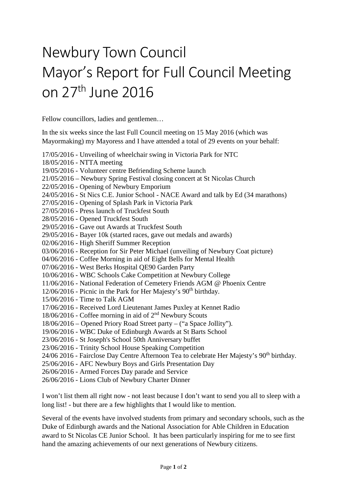## Newbury Town Council Mayor's Report for Full Council Meeting on 27th June 2016

Fellow councillors, ladies and gentlemen…

In the six weeks since the last Full Council meeting on 15 May 2016 (which was Mayormaking) my Mayoress and I have attended a total of 29 events on your behalf:

17/05/2016 - Unveiling of wheelchair swing in Victoria Park for NTC 18/05/2016 - NTTA meeting 19/05/2016 - Volunteer centre Befriending Scheme launch 21/05/2016 – Newbury Spring Festival closing concert at St Nicolas Church 22/05/2016 - Opening of Newbury Emporium 24/05/2016 - St Nics C.E. Junior School - NACE Award and talk by Ed (34 marathons) 27/05/2016 - Opening of Splash Park in Victoria Park 27/05/2016 - Press launch of Truckfest South 28/05/2016 - Opened Truckfest South 29/05/2016 - Gave out Awards at Truckfest South 29/05/2016 - Bayer 10k (started races, gave out medals and awards) 02/06/2016 - High Sheriff Summer Reception 03/06/2016 - Reception for Sir Peter Michael (unveiling of Newbury Coat picture) 04/06/2016 - Coffee Morning in aid of Eight Bells for Mental Health 07/06/2016 - West Berks Hospital QE90 Garden Party 10/06/2016 - WBC Schools Cake Competition at Newbury College 11/06/2016 - National Federation of Cemetery Friends AGM @ Phoenix Centre 12/06/2016 - Picnic in the Park for Her Majesty's 90th birthday. 15/06/2016 - Time to Talk AGM 17/06/2016 - Received Lord Lieutenant James Puxley at Kennet Radio 18/06/2016 - Coffee morning in aid of 2nd Newbury Scouts 18/06/2016 – Opened Priory Road Street party – ("a Space Jollity"). 19/06/2016 - WBC Duke of Edinburgh Awards at St Barts School 23/06/2016 - St Joseph's School 50th Anniversary buffet 23/06/2016 - Trinity School House Speaking Competition 24/06 2016 - Fairclose Day Centre Afternoon Tea to celebrate Her Majesty's 90<sup>th</sup> birthday. 25/06/2016 - AFC Newbury Boys and Girls Presentation Day 26/06/2016 - Armed Forces Day parade and Service 26/06/2016 - Lions Club of Newbury Charter Dinner

I won't list them all right now - not least because I don't want to send you all to sleep with a long list! - but there are a few highlights that I would like to mention.

Several of the events have involved students from primary and secondary schools, such as the Duke of Edinburgh awards and the National Association for Able Children in Education award to St Nicolas CE Junior School. It has been particularly inspiring for me to see first hand the amazing achievements of our next generations of Newbury citizens.